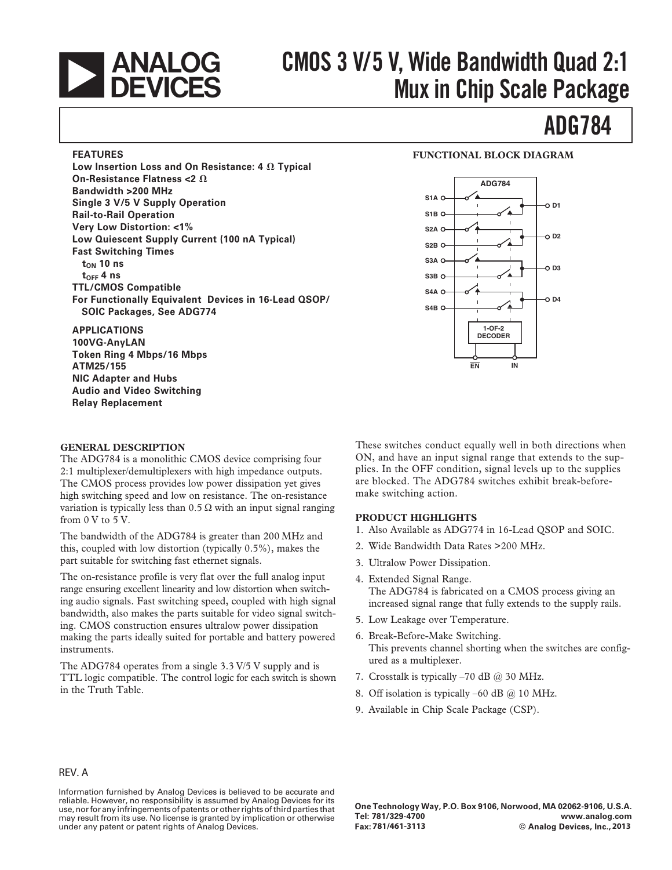

# **CMOS 3 V/5 V, Wide Bandwidth Quad 2:1 Mux in Chip Scale Package**

#### **FEATURES**

Low Insertion Loss and On Resistance: 4  $\Omega$  Typical **On-Resistance Flatness <2**  $\Omega$ **Bandwidth >200 MHz Single 3 V/5 V Supply Operation Rail-to-Rail Operation Very Low Distortion: <1% Low Quiescent Supply Current (100 nA Typical) Fast Switching Times**  $t_{ON}$  10 ns  $t_{\text{OFF}}$  4 ns **TTL/CMOS Compatible For Functionally Equivalent Devices in 16-Lead QSOP/ SOIC Packages, See ADG774**

#### **APPLICATIONS**

**100VG-AnyLAN Token Ring 4 Mbps/16 Mbps ATM25/155 NIC Adapter and Hubs Audio and Video Switching Relay Replacement**

#### **GENERAL DESCRIPTION**

The ADG784 is a monolithic CMOS device comprising four 2:1 multiplexer/demultiplexers with high impedance outputs. The CMOS process provides low power dissipation yet gives high switching speed and low on resistance. The on-resistance variation is typically less than  $0.5 \Omega$  with an input signal ranging from 0 V to 5 V.

The bandwidth of the ADG784 is greater than 200 MHz and this, coupled with low distortion (typically 0.5%), makes the part suitable for switching fast ethernet signals.

The on-resistance profile is very flat over the full analog input range ensuring excellent linearity and low distortion when switching audio signals. Fast switching speed, coupled with high signal bandwidth, also makes the parts suitable for video signal switching. CMOS construction ensures ultralow power dissipation making the parts ideally suited for portable and battery powered instruments.

The ADG784 operates from a single 3.3 V/5 V supply and is TTL logic compatible. The control logic for each switch is shown in the Truth Table.

#### **FUNCTIONAL BLOCK DIAGRAM**

**ADG784**



These switches conduct equally well in both directions when ON, and have an input signal range that extends to the supplies. In the OFF condition, signal levels up to the supplies are blocked. The ADG784 switches exhibit break-beforemake switching action.

#### **PRODUCT HIGHLIGHTS**

- 1. Also Available as ADG774 in 16-Lead QSOP and SOIC.
- 2. Wide Bandwidth Data Rates >200 MHz.
- 3. Ultralow Power Dissipation.
- 4. Extended Signal Range. The ADG784 is fabricated on a CMOS process giving an increased signal range that fully extends to the supply rails.
- 5. Low Leakage over Temperature.
- 6. Break-Before-Make Switching. This prevents channel shorting when the switches are configured as a multiplexer.
- 7. Crosstalk is typically -70 dB @ 30 MHz.
- 8. Off isolation is typically –60 dB @ 10 MHz.
- 9. Available in Chip Scale Package (CSP).

#### REV. A

Information furnished by Analog Devices is believed to be accurate and reliable. However, no responsibility is assumed by Analog Devices for its use, nor for any infringements of patents or other rights of third parties that may result from its use. No license is granted by implication or otherwise under any patent or patent rights of Analog Devices.

**One Technology Way, P.O. Box 9106, Norwood, MA 02062-9106, U.S.A. Tel: 781/329-4700 www.analog.com Fax: © Analog Devices, Inc., 781/461-3113 2013**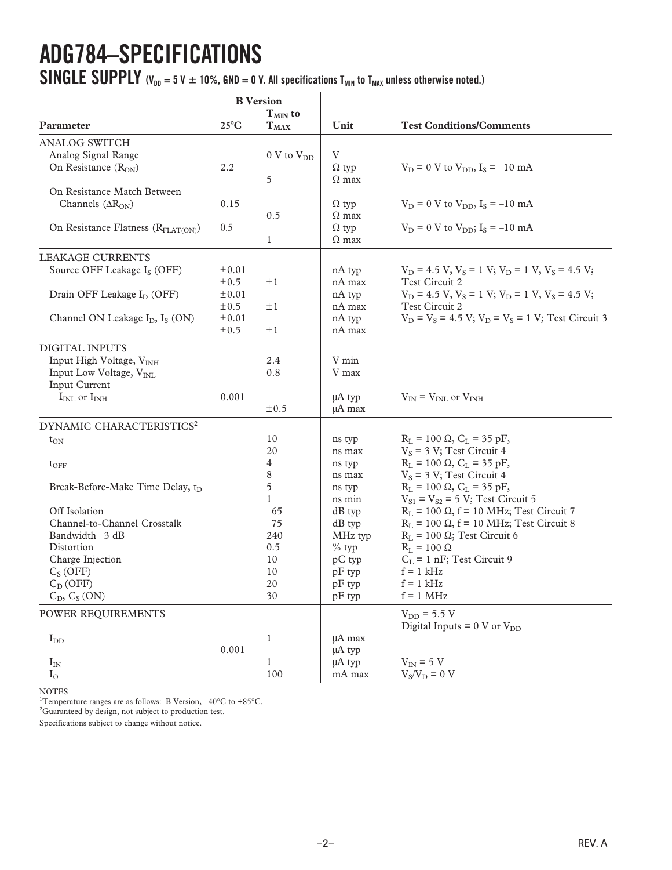# **ADG784–SPECIFICATIONS**

**SINGLE SUPPLY**  $(V_{DD} = 5 V \pm 10\%$ , GND = 0 V. All specifications  $T_{MIN}$  to  $T_{MAX}$  unless otherwise noted.)

|                                                                                                                                                                                                                                                                        | <b>B</b> Version                                                              |                                                                                      |                                                                                                                                                |                                                                                                                                                                                                                                                                                                                                                                                                                                                                                      |
|------------------------------------------------------------------------------------------------------------------------------------------------------------------------------------------------------------------------------------------------------------------------|-------------------------------------------------------------------------------|--------------------------------------------------------------------------------------|------------------------------------------------------------------------------------------------------------------------------------------------|--------------------------------------------------------------------------------------------------------------------------------------------------------------------------------------------------------------------------------------------------------------------------------------------------------------------------------------------------------------------------------------------------------------------------------------------------------------------------------------|
|                                                                                                                                                                                                                                                                        | $25^{\circ}$ C                                                                | $T_{MIN}$ to                                                                         |                                                                                                                                                | <b>Test Conditions/Comments</b>                                                                                                                                                                                                                                                                                                                                                                                                                                                      |
| Parameter                                                                                                                                                                                                                                                              |                                                                               | $T_{MAX}$                                                                            | Unit                                                                                                                                           |                                                                                                                                                                                                                                                                                                                                                                                                                                                                                      |
| <b>ANALOG SWITCH</b><br>Analog Signal Range<br>On Resistance $(R_{ON})$                                                                                                                                                                                                | 2.2                                                                           | $0 \,$ V to $V_{DD}$<br>5                                                            | V<br>$\Omega$ typ<br>$\Omega$ max                                                                                                              | $V_D = 0$ V to $V_{DD}$ , $I_S = -10$ mA                                                                                                                                                                                                                                                                                                                                                                                                                                             |
| On Resistance Match Between<br>Channels $(\Delta R_{ON})$<br>On Resistance Flatness (R <sub>FLAT(ON)</sub> )                                                                                                                                                           | 0.15<br>0.5                                                                   | 0.5<br>1                                                                             | $\Omega$ typ<br>$\Omega$ max<br>$\Omega$ typ<br>$\Omega$ max                                                                                   | $V_D = 0$ V to $V_{DD}$ , $I_S = -10$ mA<br>$V_D = 0$ V to $V_{DD}$ ; I <sub>S</sub> = -10 mA                                                                                                                                                                                                                                                                                                                                                                                        |
| LEAKAGE CURRENTS<br>Source OFF Leakage I <sub>S</sub> (OFF)<br>Drain OFF Leakage I <sub>D</sub> (OFF)<br>Channel ON Leakage $I_D$ , $I_S$ (ON)                                                                                                                         | $\pm 0.01$<br>$\pm 0.5$<br>$\pm 0.01$<br>$\pm 0.5$<br>$\pm 0.01$<br>$\pm 0.5$ | $\pm 1$<br>$\pm 1$<br>$\pm 1$                                                        | nA typ<br>nA max<br>nA typ<br>nA max<br>nA typ<br>nA max                                                                                       | $V_D = 4.5 V$ , $V_S = 1 V$ ; $V_D = 1 V$ , $V_S = 4.5 V$ ;<br>Test Circuit 2<br>$V_D = 4.5 V$ , $V_S = 1 V$ ; $V_D = 1 V$ , $V_S = 4.5 V$ ;<br>Test Circuit 2<br>$V_D = V_S = 4.5 V; V_D = V_S = 1 V; Test Circuit 3$                                                                                                                                                                                                                                                               |
| <b>DIGITAL INPUTS</b><br>Input High Voltage, V <sub>INH</sub><br>Input Low Voltage, V <sub>INL</sub><br>Input Current<br>$IINL$ or $IINH$                                                                                                                              | 0.001                                                                         | 2.4<br>0.8<br>$\pm 0.5$                                                              | V min<br>V max<br>μA typ<br>$\mu A$ max                                                                                                        | $V_{IN} = V_{INL}$ or $V_{INH}$                                                                                                                                                                                                                                                                                                                                                                                                                                                      |
| DYNAMIC CHARACTERISTICS <sup>2</sup><br>$t_{ON}$<br>$t_{\rm OFF}$<br>Break-Before-Make Time Delay, t <sub>D</sub><br>Off Isolation<br>Channel-to-Channel Crosstalk<br>Bandwidth -3 dB<br>Distortion<br>Charge Injection<br>$C_S(OFF)$<br>$C_D(OFF)$<br>$C_D, C_S (ON)$ |                                                                               | 10<br>20<br>4<br>8<br>5<br>1<br>$-65$<br>$-75$<br>240<br>0.5<br>10<br>10<br>20<br>30 | ns typ<br>ns max<br>ns typ<br>ns max<br>ns typ<br>ns min<br>$dB$ typ<br>$dB$ typ<br>MHz typ<br>$%$ typ<br>pC typ<br>pF typ<br>pF typ<br>pF typ | $R_L = 100 \Omega$ , $C_L = 35 pF$ ,<br>$V_s$ = 3 V; Test Circuit 4<br>$R_L = 100 \Omega$ , $C_L = 35 pF$ ,<br>$V_s$ = 3 V; Test Circuit 4<br>$R_L = 100 \Omega$ , $C_L = 35 pF$ ,<br>$V_{S1} = V_{S2} = 5 V$ ; Test Circuit 5<br>$R_L$ = 100 $\Omega$ , f = 10 MHz; Test Circuit 7<br>$R_L$ = 100 $\Omega$ , f = 10 MHz; Test Circuit 8<br>$R_L$ = 100 $\Omega$ ; Test Circuit 6<br>$R_L = 100 \Omega$<br>$C_L = 1$ nF; Test Circuit 9<br>$f = 1$ kHz<br>$f = 1$ kHz<br>$f = 1$ MHz |
| POWER REQUIREMENTS<br>$I_{DD}$<br>$I_{IN}$<br>$\rm I_{O}$                                                                                                                                                                                                              | 0.001                                                                         | $\mathbf{1}$<br>1<br>100                                                             | $\mu$ A max<br>µA typ<br>µA typ<br>mA max                                                                                                      | $V_{DD}$ = 5.5 V<br>Digital Inputs = $0 \text{ V or } V_{DD}$<br>$V_{IN}$ = 5 V<br>$\rm V_S/V_D = 0$ V                                                                                                                                                                                                                                                                                                                                                                               |

NOTES 1 Temperature ranges are as follows: B Version, –40°C to +85°C.

 ${}^{2}$ Guaranteed by design, not subject to production test.

Specifications subject to change without notice.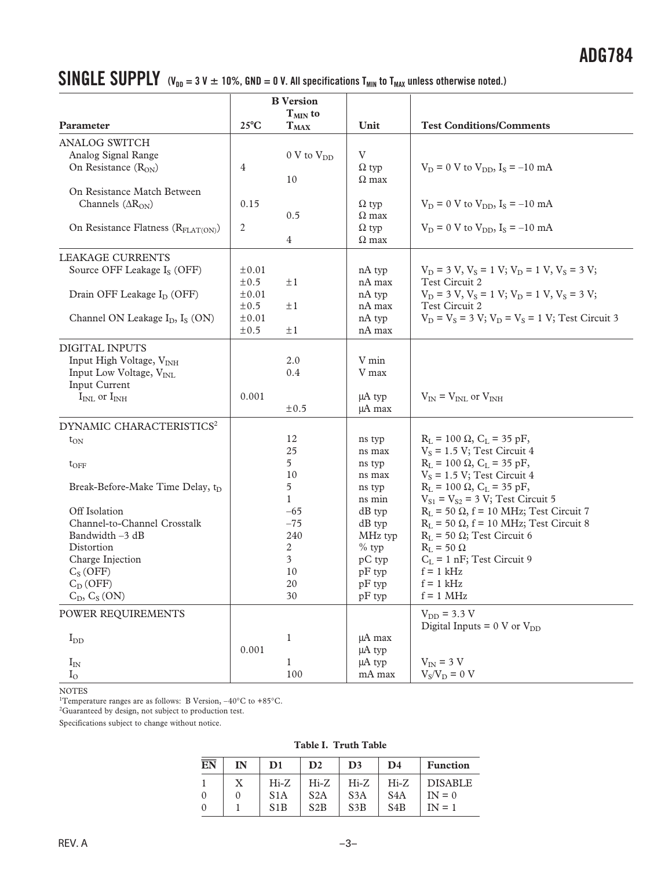## **SINGLE SUPPLY**  $(V_{DD} = 3 V \pm 10\%$ , GND = 0 V. All specifications T<sub>MIN</sub> to T<sub>MAX</sub> unless otherwise noted.)

|                                                 | <b>B</b> Version<br>$T_{MIN}$ to |                        |                    |                                                               |  |
|-------------------------------------------------|----------------------------------|------------------------|--------------------|---------------------------------------------------------------|--|
| Parameter                                       | $25^{\circ}$ C                   | $T_{MAX}$              | Unit               | <b>Test Conditions/Comments</b>                               |  |
| ANALOG SWITCH                                   |                                  |                        |                    |                                                               |  |
| Analog Signal Range                             |                                  | 0 V to V <sub>DD</sub> | V                  |                                                               |  |
| On Resistance $(R_{ON})$                        | $\overline{4}$                   |                        | $\Omega$ typ       | $V_D = 0$ V to $V_{DD}$ , $I_S = -10$ mA                      |  |
|                                                 |                                  | 10                     | $\Omega$ max       |                                                               |  |
| On Resistance Match Between                     |                                  |                        |                    |                                                               |  |
| Channels $(\Delta R_{ON})$                      | 0.15                             |                        | $\Omega$ typ       | $V_D = 0$ V to $V_{DD}$ , $I_S = -10$ mA                      |  |
|                                                 |                                  | 0.5                    | $\Omega$ max       |                                                               |  |
| On Resistance Flatness (R <sub>FLAT(ON)</sub> ) | 2                                |                        | $\Omega$ typ       | $V_D = 0$ V to $V_{DD}$ , $I_S = -10$ mA                      |  |
|                                                 |                                  | $\overline{4}$         | $\Omega$ max       |                                                               |  |
| LEAKAGE CURRENTS                                |                                  |                        |                    |                                                               |  |
| Source OFF Leakage I <sub>S</sub> (OFF)         | $\pm 0.01$                       |                        | nA typ             | $V_D = 3 V$ , $V_S = 1 V$ ; $V_D = 1 V$ , $V_S = 3 V$ ;       |  |
|                                                 | $\pm 0.5$                        | $\pm 1$                | nA max             | Test Circuit 2                                                |  |
| Drain OFF Leakage I <sub>D</sub> (OFF)          | $\pm 0.01$                       |                        | nA typ             | $V_D = 3 V$ , $V_S = 1 V$ ; $V_D = 1 V$ , $V_S = 3 V$ ;       |  |
|                                                 | $\pm 0.5$                        | $\pm 1$                | nA max             | Test Circuit 2                                                |  |
| Channel ON Leakage $I_D$ , $I_S$ (ON)           | $\pm 0.01$<br>$\pm 0.5$          | $\pm 1$                | nA typ<br>nA max   | $V_D = V_S = 3 V$ ; $V_D = V_S = 1 V$ ; Test Circuit 3        |  |
|                                                 |                                  |                        |                    |                                                               |  |
| <b>DIGITAL INPUTS</b>                           |                                  |                        |                    |                                                               |  |
| Input High Voltage, V <sub>INH</sub>            |                                  | 2.0                    | V min              |                                                               |  |
| Input Low Voltage, V <sub>INL</sub>             |                                  | 0.4                    | V max              |                                                               |  |
| Input Current<br>$I_{INL}$ or $I_{INH}$         | 0.001                            |                        | μA typ             | $V_{IN} = V_{INL}$ or $V_{INH}$                               |  |
|                                                 |                                  | $\pm 0.5$              | $\mu$ A max        |                                                               |  |
| DYNAMIC CHARACTERISTICS <sup>2</sup>            |                                  |                        |                    |                                                               |  |
| $t_{ON}$                                        |                                  | 12                     | ns typ             | $R_I = 100 \Omega$ , $C_L = 35 pF$ ,                          |  |
|                                                 |                                  | 25                     | ns max             | $V_s = 1.5 V$ ; Test Circuit 4                                |  |
| $t_{\rm OFF}$                                   |                                  | 5                      | ns typ             | $R_L = 100 \Omega$ , $C_L = 35 pF$ ,                          |  |
|                                                 |                                  | 10                     | ns max             | $V_s = 1.5 V$ ; Test Circuit 4                                |  |
| Break-Before-Make Time Delay, t <sub>D</sub>    |                                  | 5                      | ns typ             | $R_L = 100 \Omega$ , $C_L = 35 pF$ ,                          |  |
|                                                 |                                  | $\mathbf{1}$           | ns min             | $V_{S1} = V_{S2} = 3 V$ ; Test Circuit 5                      |  |
| Off Isolation                                   |                                  | $-65$                  | $dB$ typ           | $R_L$ = 50 $\Omega$ , f = 10 MHz; Test Circuit 7              |  |
| Channel-to-Channel Crosstalk                    |                                  | $-75$                  | $dB$ typ           | $R_L$ = 50 $\Omega$ , f = 10 MHz; Test Circuit 8              |  |
| Bandwidth $-3$ dB                               |                                  | 240                    | MHz typ            | $R_L$ = 50 $\Omega$ ; Test Circuit 6                          |  |
| Distortion                                      |                                  | 2                      | $%$ typ            | $R_L = 50 \Omega$                                             |  |
| Charge Injection<br>$C_S(OFF)$                  |                                  | 3<br>10                | pC typ<br>$pF$ typ | $C_L$ = 1 nF; Test Circuit 9<br>$f = 1$ kHz                   |  |
| $C_D(OFF)$                                      |                                  | 20                     | pF typ             | $f = 1$ kHz                                                   |  |
| $C_D, C_S (ON)$                                 |                                  | 30                     | pF typ             | $f = 1$ MHz                                                   |  |
|                                                 |                                  |                        |                    |                                                               |  |
| POWER REQUIREMENTS                              |                                  |                        |                    | $V_{DD}$ = 3.3 V<br>Digital Inputs = $0 \text{ V or } V_{DD}$ |  |
| $I_{DD}$                                        |                                  | $\mathbf{1}$           | $\mu$ A max        |                                                               |  |
|                                                 | 0.001                            |                        | μA typ             |                                                               |  |
| $I_{IN}$                                        |                                  | $\mathbf{1}$           | µA typ             | $V_{IN}$ = 3 V                                                |  |
| $\rm I_{O}$                                     |                                  | 100                    | mA max             | $V_S/V_D = 0 V$                                               |  |

NOTES

<sup>1</sup>Temperature ranges are as follows: B Version,  $-40^{\circ}$ C to  $+85^{\circ}$ C.

 ${}^{2}$ Guaranteed by design, not subject to production test.

Specifications subject to change without notice.

**Table I. Truth Table**

| EN       | IN | D1               | $\mathbf{D}2$ | D <sub>3</sub> | D4               | <b>Function</b> |
|----------|----|------------------|---------------|----------------|------------------|-----------------|
|          | X  | $Hi-Z$           | $Hi-Z$        | $Hi-Z$         | $Hi-Z$           | <b>DISABLE</b>  |
| $\Omega$ |    | S <sub>1</sub> A | S2A           | S3A            | S <sub>4</sub> A | $IN = 0$        |
| $\Omega$ |    | S1B              | S2B           | S3B            | S <sub>4</sub> B | $IN = 1$        |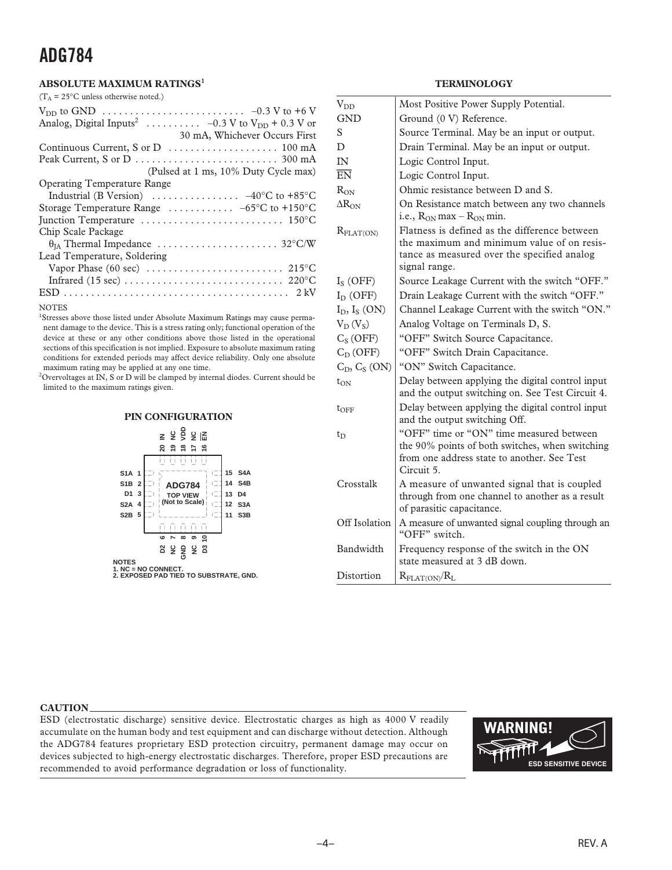### **ADG784**

#### **ABSOLUTE MAXIMUM RATINGS<sup>1</sup>**

 $(T_A = 25^{\circ}$ C unless otherwise noted.)

| Analog, Digital Inputs <sup>2</sup> -0.3 V to $V_{DD}$ + 0.3 V or<br>30 mA, Whichever Occurs First |
|----------------------------------------------------------------------------------------------------|
|                                                                                                    |
| Peak Current, S or D $\dots \dots \dots \dots \dots \dots \dots \dots \dots$ 300 mA                |
| (Pulsed at 1 ms, 10% Duty Cycle max)                                                               |
| <b>Operating Temperature Range</b>                                                                 |
| Industrial (B Version) $\ldots \ldots \ldots \ldots \ldots -40^{\circ}C$ to +85°C                  |
| Storage Temperature Range $\ldots \ldots \ldots -65$ °C to +150°C                                  |
|                                                                                                    |
| Chip Scale Package                                                                                 |
|                                                                                                    |
| Lead Temperature, Soldering                                                                        |
| Vapor Phase (60 sec) $\dots \dots \dots \dots \dots \dots \dots \dots \dots \dots$ 215°C           |
|                                                                                                    |
|                                                                                                    |

NOTES

<sup>1</sup>Stresses above those listed under Absolute Maximum Ratings may cause permanent damage to the device. This is a stress rating only; functional operation of the device at these or any other conditions above those listed in the operational sections of this specification is not implied. Exposure to absolute maximum rating conditions for extended periods may affect device reliability. Only one absolute maximum rating may be applied at any one time.

 $^{2}$ Overvoltages at IN, S or D will be clamped by internal diodes. Current should be limited to the maximum ratings given.

#### **PIN CONFIGURATION**



**NOTES 1. NC = NO CONNECT. 2. EXPOSED PAD TIED TO SUBSTRATE, GND.**

#### **TERMINOLOGY**

| $V_{DD}$              | Most Positive Power Supply Potential.                                                                                                                       |
|-----------------------|-------------------------------------------------------------------------------------------------------------------------------------------------------------|
| <b>GND</b>            | Ground (0 V) Reference.                                                                                                                                     |
| S                     | Source Terminal. May be an input or output.                                                                                                                 |
| D                     | Drain Terminal. May be an input or output.                                                                                                                  |
| IN                    | Logic Control Input.                                                                                                                                        |
| $\overline{EN}$       | Logic Control Input.                                                                                                                                        |
| $R_{ON}$              | Ohmic resistance between D and S.                                                                                                                           |
| $\Delta R_{ON}$       | On Resistance match between any two channels<br>i.e., $R_{ON}$ max – $R_{ON}$ min.                                                                          |
| $R_{\text{FLAT(ON)}}$ | Flatness is defined as the difference between<br>the maximum and minimum value of on resis-<br>tance as measured over the specified analog<br>signal range. |
| $I_S(OFF)$            | Source Leakage Current with the switch "OFF."                                                                                                               |
| $I_D$ (OFF)           | Drain Leakage Current with the switch "OFF."                                                                                                                |
| $I_D$ , $I_S$ (ON)    | Channel Leakage Current with the switch "ON."                                                                                                               |
| $V_D(V_S)$            | Analog Voltage on Terminals D, S.                                                                                                                           |
| $C_S(OFF)$            | "OFF" Switch Source Capacitance.                                                                                                                            |
| $C_D(OFF)$            | "OFF" Switch Drain Capacitance.                                                                                                                             |
| $C_D, C_S (ON)$       | "ON" Switch Capacitance.                                                                                                                                    |
| $t_{ON}$              | Delay between applying the digital control input<br>and the output switching on. See Test Circuit 4.                                                        |
| $t_{\rm OFF}$         | Delay between applying the digital control input<br>and the output switching Off.                                                                           |
| $t_{\rm D}$           | "OFF" time or "ON" time measured between<br>the 90% points of both switches, when switching<br>from one address state to another. See Test<br>Circuit 5.    |
| Crosstalk             | A measure of unwanted signal that is coupled<br>through from one channel to another as a result<br>of parasitic capacitance.                                |
| Off Isolation         | A measure of unwanted signal coupling through an<br>"OFF" switch.                                                                                           |
| Bandwidth             | Frequency response of the switch in the ON<br>state measured at 3 dB down.                                                                                  |
| Distortion            | $R_{\text{FLAT(ON)}}/R_{\text{L}}$                                                                                                                          |

#### **CAUTION**

ESD (electrostatic discharge) sensitive device. Electrostatic charges as high as 4000 V readily accumulate on the human body and test equipment and can discharge without detection. Although the ADG784 features proprietary ESD protection circuitry, permanent damage may occur on devices subjected to high-energy electrostatic discharges. Therefore, proper ESD precautions are recommended to avoid performance degradation or loss of functionality.

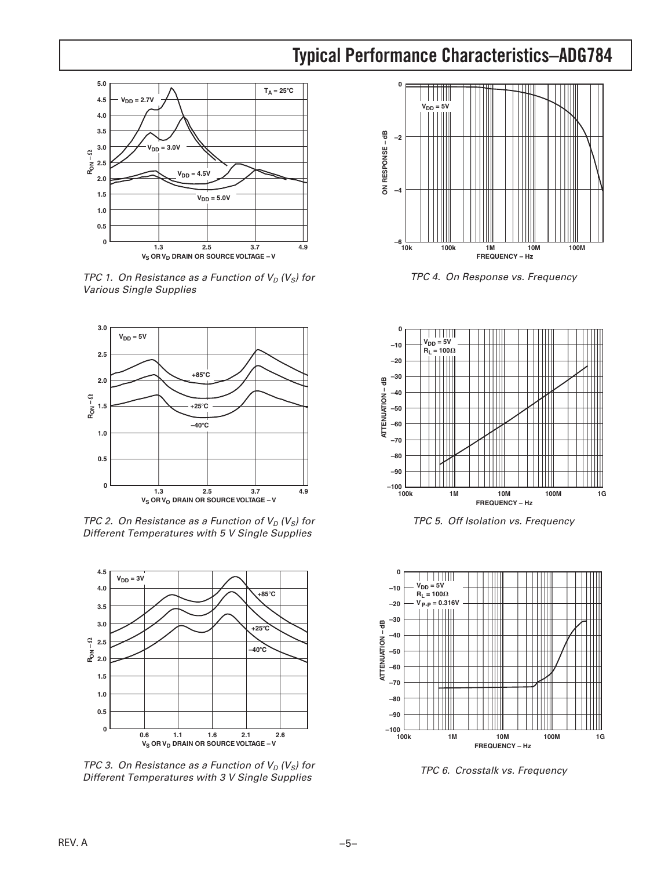### **Typical Performance Characteristics–ADG784**



TPC 1. On Resistance as a Function of  $V_D$  ( $V_S$ ) for Various Single Supplies



TPC 2. On Resistance as a Function of  $V_D$  ( $V_S$ ) for Different Temperatures with 5 V Single Supplies



TPC 3. On Resistance as a Function of  $V_D$  ( $V_S$ ) for Different Temperatures with 3 V Single Supplies



TPC 4. On Response vs. Frequency



TPC 5. Off Isolation vs. Frequency



TPC 6. Crosstalk vs. Frequency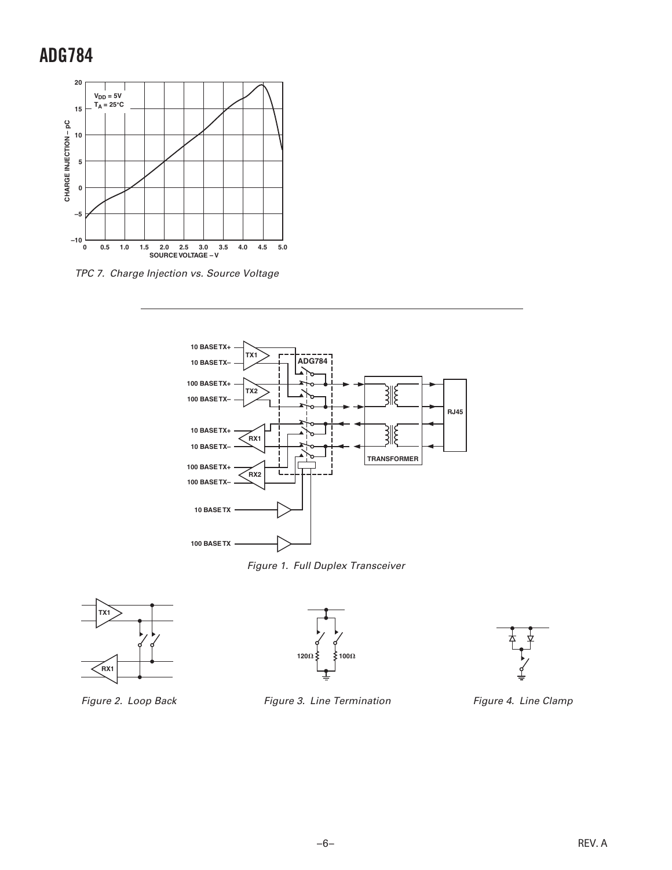### **ADG784**



TPC 7. Charge Injection vs. Source Voltage





Figure 2. Loop Back





Figure 4. Line Clamp



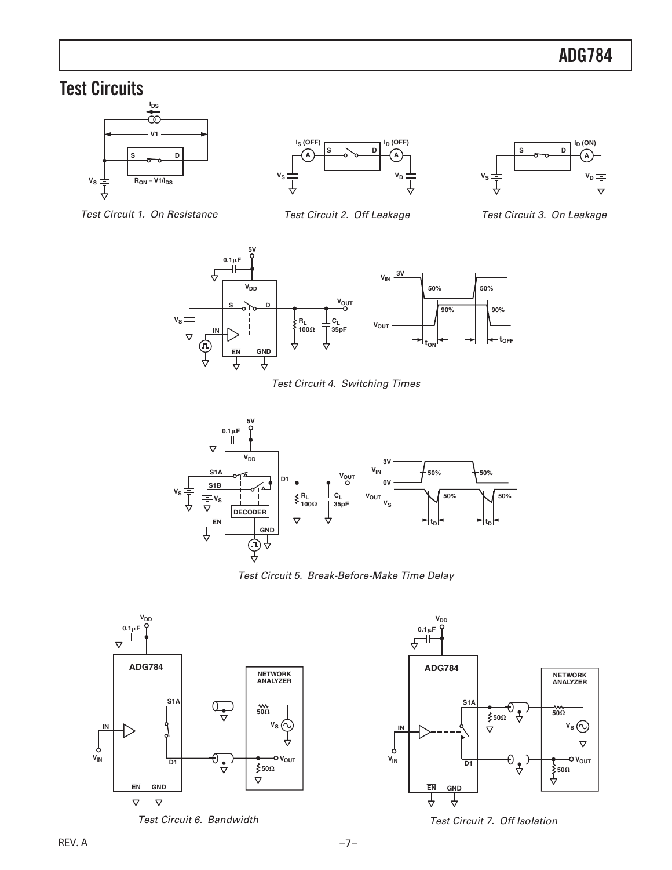### **Test Circuits**







Test Circuit 1. On Resistance

Test Circuit 2. Off Leakage

Test Circuit 3. On Leakage



Test Circuit 4. Switching Times



Test Circuit 5. Break-Before-Make Time Delay



Test Circuit 6. Bandwidth



Test Circuit 7. Off Isolation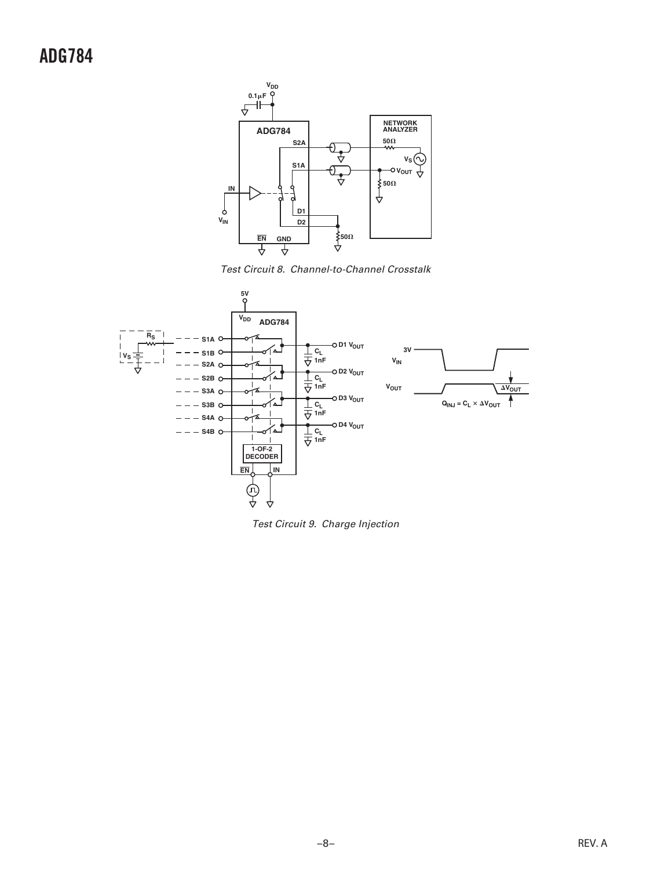### **ADG784**



Test Circuit 8. Channel-to-Channel Crosstalk



Test Circuit 9. Charge Injection